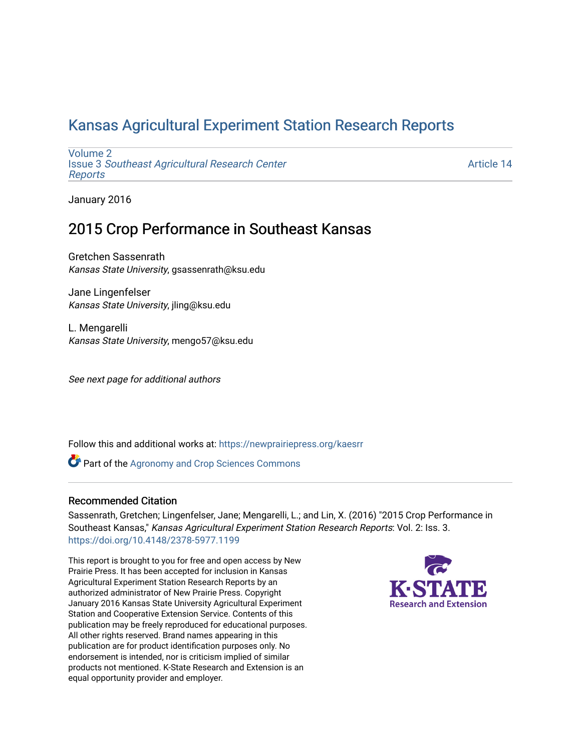## [Kansas Agricultural Experiment Station Research Reports](https://newprairiepress.org/kaesrr)

[Volume 2](https://newprairiepress.org/kaesrr/vol2) Issue 3 [Southeast Agricultural Research Center](https://newprairiepress.org/kaesrr/vol2/iss3) [Reports](https://newprairiepress.org/kaesrr/vol2/iss3)

[Article 14](https://newprairiepress.org/kaesrr/vol2/iss3/14) 

January 2016

## 2015 Crop Performance in Southeast Kansas

Gretchen Sassenrath Kansas State University, gsassenrath@ksu.edu

Jane Lingenfelser Kansas State University, jling@ksu.edu

L. Mengarelli Kansas State University, mengo57@ksu.edu

See next page for additional authors

Follow this and additional works at: [https://newprairiepress.org/kaesrr](https://newprairiepress.org/kaesrr?utm_source=newprairiepress.org%2Fkaesrr%2Fvol2%2Fiss3%2F14&utm_medium=PDF&utm_campaign=PDFCoverPages) 

**Part of the Agronomy and Crop Sciences Commons** 

### Recommended Citation

Sassenrath, Gretchen; Lingenfelser, Jane; Mengarelli, L.; and Lin, X. (2016) "2015 Crop Performance in Southeast Kansas," Kansas Agricultural Experiment Station Research Reports: Vol. 2: Iss. 3. <https://doi.org/10.4148/2378-5977.1199>

This report is brought to you for free and open access by New Prairie Press. It has been accepted for inclusion in Kansas Agricultural Experiment Station Research Reports by an authorized administrator of New Prairie Press. Copyright January 2016 Kansas State University Agricultural Experiment Station and Cooperative Extension Service. Contents of this publication may be freely reproduced for educational purposes. All other rights reserved. Brand names appearing in this publication are for product identification purposes only. No endorsement is intended, nor is criticism implied of similar products not mentioned. K-State Research and Extension is an equal opportunity provider and employer.

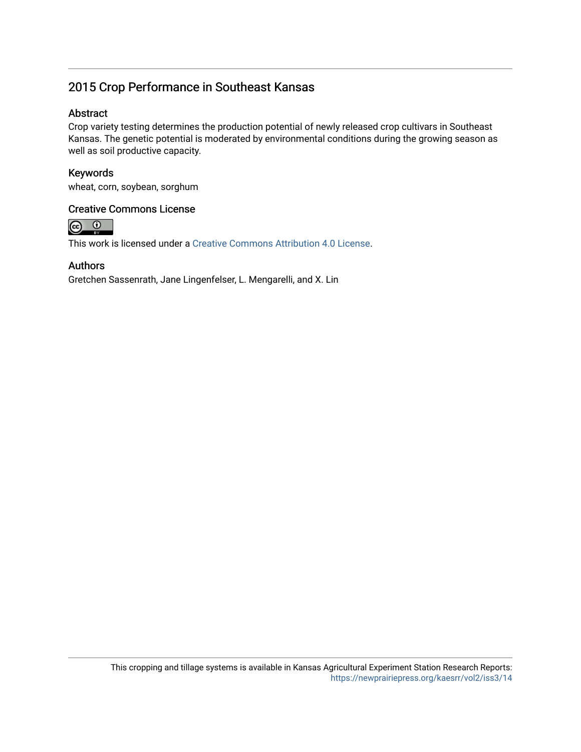## 2015 Crop Performance in Southeast Kansas

### Abstract

Crop variety testing determines the production potential of newly released crop cultivars in Southeast Kansas. The genetic potential is moderated by environmental conditions during the growing season as well as soil productive capacity.

### Keywords

wheat, corn, soybean, sorghum

### Creative Commons License



This work is licensed under a [Creative Commons Attribution 4.0 License](https://creativecommons.org/licenses/by/4.0/).

### Authors

Gretchen Sassenrath, Jane Lingenfelser, L. Mengarelli, and X. Lin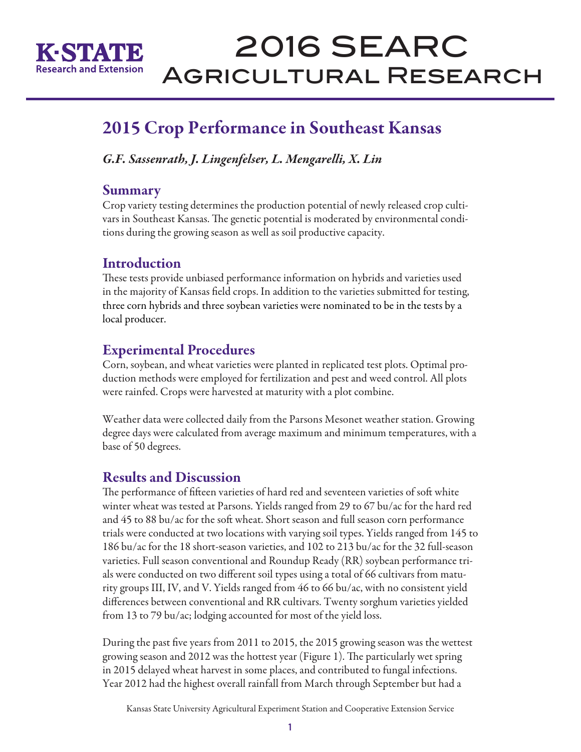

# 2016 SEARC Agricultural Research

## 2015 Crop Performance in Southeast Kansas

*G.F. Sassenrath, J. Lingenfelser, L. Mengarelli, X. Lin*

### Summary

Crop variety testing determines the production potential of newly released crop cultivars in Southeast Kansas. The genetic potential is moderated by environmental conditions during the growing season as well as soil productive capacity.

### Introduction

These tests provide unbiased performance information on hybrids and varieties used in the majority of Kansas field crops. In addition to the varieties submitted for testing, three corn hybrids and three soybean varieties were nominated to be in the tests by a local producer.

## Experimental Procedures

Corn, soybean, and wheat varieties were planted in replicated test plots. Optimal production methods were employed for fertilization and pest and weed control. All plots were rainfed. Crops were harvested at maturity with a plot combine.

Weather data were collected daily from the Parsons Mesonet weather station. Growing degree days were calculated from average maximum and minimum temperatures, with a base of 50 degrees.

## Results and Discussion

The performance of fifteen varieties of hard red and seventeen varieties of soft white winter wheat was tested at Parsons. Yields ranged from 29 to 67 bu/ac for the hard red and 45 to 88 bu/ac for the soft wheat. Short season and full season corn performance trials were conducted at two locations with varying soil types. Yields ranged from 145 to 186 bu/ac for the 18 short-season varieties, and 102 to 213 bu/ac for the 32 full-season varieties. Full season conventional and Roundup Ready (RR) soybean performance trials were conducted on two different soil types using a total of 66 cultivars from maturity groups III, IV, and V. Yields ranged from 46 to 66 bu/ac, with no consistent yield differences between conventional and RR cultivars. Twenty sorghum varieties yielded from 13 to 79 bu/ac; lodging accounted for most of the yield loss.

During the past five years from 2011 to 2015, the 2015 growing season was the wettest growing season and 2012 was the hottest year (Figure 1). The particularly wet spring in 2015 delayed wheat harvest in some places, and contributed to fungal infections. Year 2012 had the highest overall rainfall from March through September but had a

Kansas State University Agricultural Experiment Station and Cooperative Extension Service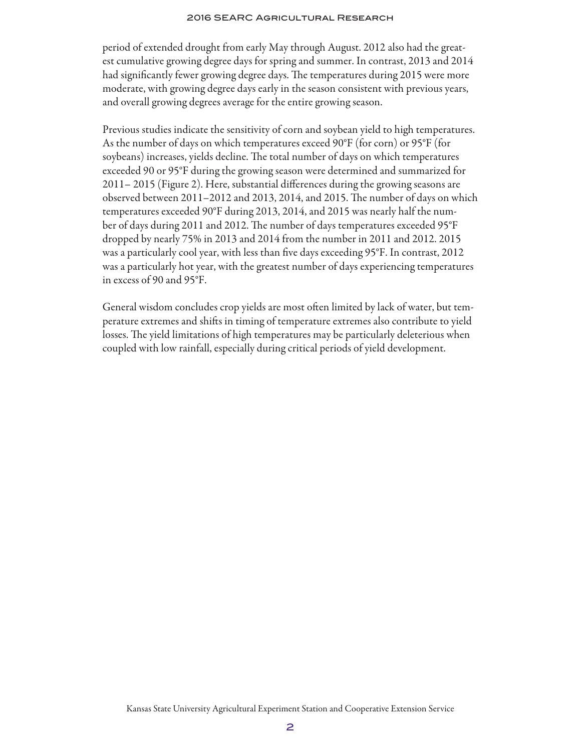#### 2016 SEARC Agricultural Research

period of extended drought from early May through August. 2012 also had the greatest cumulative growing degree days for spring and summer. In contrast, 2013 and 2014 had significantly fewer growing degree days. The temperatures during 2015 were more moderate, with growing degree days early in the season consistent with previous years, and overall growing degrees average for the entire growing season.

Previous studies indicate the sensitivity of corn and soybean yield to high temperatures. As the number of days on which temperatures exceed 90°F (for corn) or 95°F (for soybeans) increases, yields decline. The total number of days on which temperatures exceeded 90 or 95°F during the growing season were determined and summarized for 2011– 2015 (Figure 2). Here, substantial differences during the growing seasons are observed between 2011–2012 and 2013, 2014, and 2015. The number of days on which temperatures exceeded 90°F during 2013, 2014, and 2015 was nearly half the number of days during 2011 and 2012. The number of days temperatures exceeded 95°F dropped by nearly 75% in 2013 and 2014 from the number in 2011 and 2012. 2015 was a particularly cool year, with less than five days exceeding 95°F. In contrast, 2012 was a particularly hot year, with the greatest number of days experiencing temperatures in excess of 90 and 95°F.

General wisdom concludes crop yields are most often limited by lack of water, but temperature extremes and shifts in timing of temperature extremes also contribute to yield losses. The yield limitations of high temperatures may be particularly deleterious when coupled with low rainfall, especially during critical periods of yield development.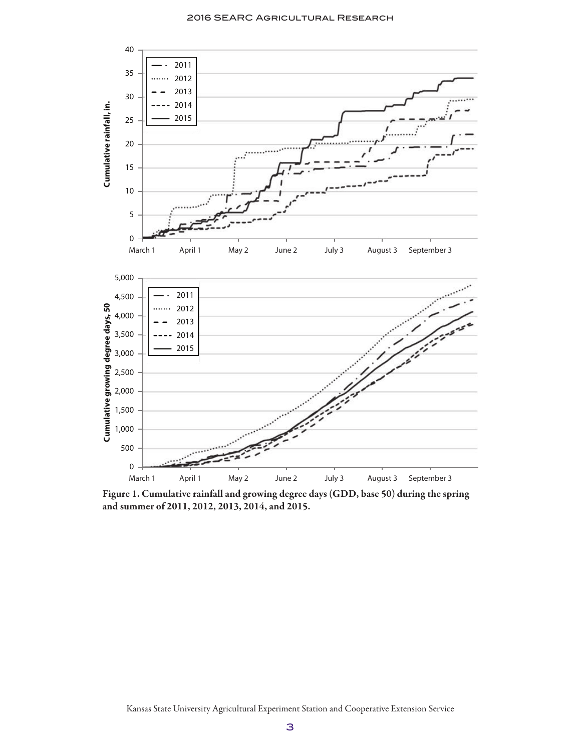

Figure 1. Cumulative rainfall and growing degree days (GDD, base 50) during the spring and summer of 2011, 2012, 2013, 2014, and 2015.